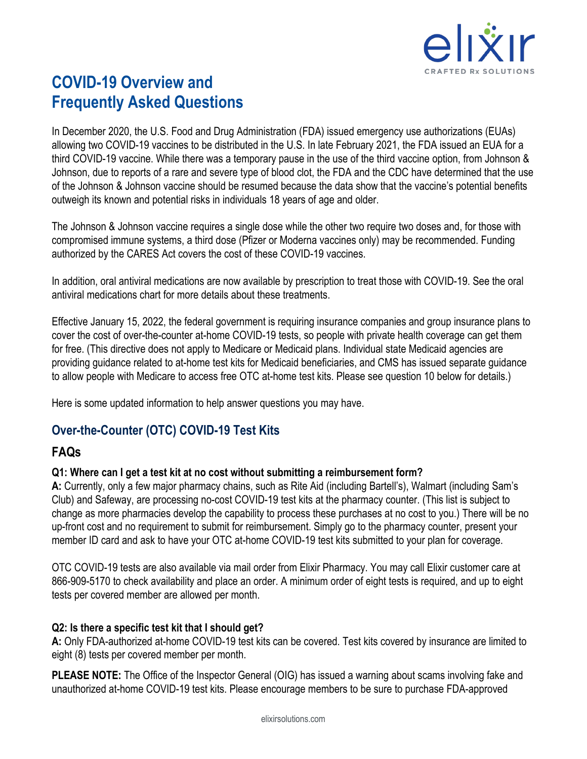

# **COVID-19 Overview and Frequently Asked Questions**

In December 2020, the U.S. Food and Drug Administration (FDA) issued emergency use authorizations (EUAs) allowing two COVID-19 vaccines to be distributed in the U.S. In late February 2021, the FDA issued an EUA for a third COVID-19 vaccine. While there was a temporary pause in the use of the third vaccine option, from Johnson & Johnson, due to reports of a rare and severe type of blood clot, the FDA and the CDC have determined that the use of the Johnson & Johnson vaccine should be resumed because the data show that the vaccine's potential benefits outweigh its known and potential risks in individuals 18 years of age and older.

The Johnson & Johnson vaccine requires a single dose while the other two require two doses and, for those with compromised immune systems, a third dose (Pfizer or Moderna vaccines only) may be recommended. Funding authorized by the CARES Act covers the cost of these COVID-19 vaccines.

In addition, oral antiviral medications are now available by prescription to treat those with COVID-19. See the oral antiviral medications chart for more details about these treatments.

Effective January 15, 2022, the federal government is requiring insurance companies and group insurance plans to cover the cost of over-the-counter at-home COVID-19 tests, so people with private health coverage can get them for free. (This directive does not apply to Medicare or Medicaid plans. Individual state Medicaid agencies are providing guidance related to at-home test kits for Medicaid beneficiaries, and CMS has issued separate guidance to allow people with Medicare to access free OTC at-home test kits. Please see question 10 below for details.)

Here is some updated information to help answer questions you may have.

## **Over-the-Counter (OTC) COVID-19 Test Kits**

## **FAQs**

## **Q1: Where can I get a test kit at no cost without submitting a reimbursement form?**

**A:** Currently, only a few major pharmacy chains, such as Rite Aid (including Bartell's), Walmart (including Sam's Club) and Safeway, are processing no-cost COVID-19 test kits at the pharmacy counter. (This list is subject to change as more pharmacies develop the capability to process these purchases at no cost to you.) There will be no up-front cost and no requirement to submit for reimbursement. Simply go to the pharmacy counter, present your member ID card and ask to have your OTC at-home COVID-19 test kits submitted to your plan for coverage.

OTC COVID-19 tests are also available via mail order from Elixir Pharmacy. You may call Elixir customer care at 866-909-5170 to check availability and place an order. A minimum order of eight tests is required, and up to eight tests per covered member are allowed per month.

### **Q2: Is there a specific test kit that I should get?**

**A:** Only FDA-authorized at-home COVID-19 test kits can be covered. Test kits covered by insurance are limited to eight (8) tests per covered member per month.

**PLEASE NOTE:** The Office of the Inspector General (OIG) has issued a warning about scams involving fake and unauthorized at-home COVID-19 test kits. Please encourage members to be sure to purchase FDA-approved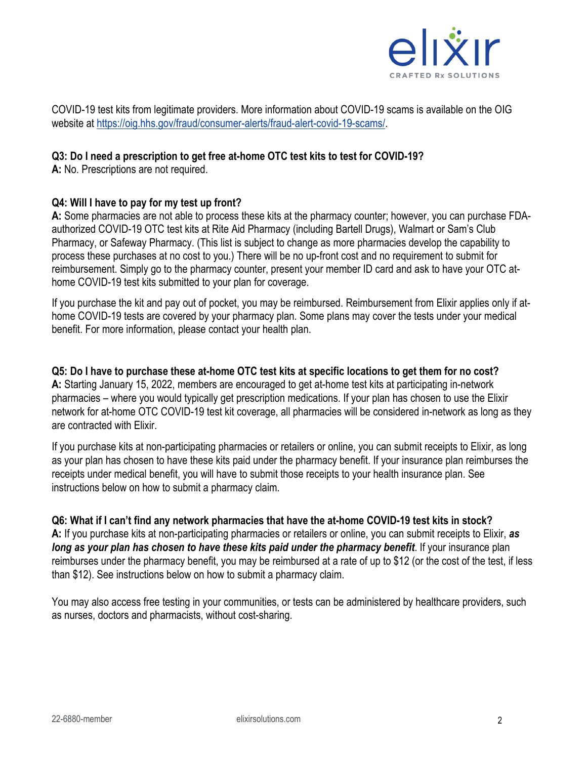

COVID-19 test kits from legitimate providers. More information about COVID-19 scams is available on the OIG website at [https://oig.hhs.gov/fraud/consumer-alerts/fraud-alert-covid-19-scams/.](https://oig.hhs.gov/fraud/consumer-alerts/fraud-alert-covid-19-scams/)

#### **Q3: Do I need a prescription to get free at-home OTC test kits to test for COVID-19?**

**A:** No. Prescriptions are not required.

#### **Q4: Will I have to pay for my test up front?**

**A:** Some pharmacies are not able to process these kits at the pharmacy counter; however, you can purchase FDAauthorized COVID-19 OTC test kits at Rite Aid Pharmacy (including Bartell Drugs), Walmart or Sam's Club Pharmacy, or Safeway Pharmacy. (This list is subject to change as more pharmacies develop the capability to process these purchases at no cost to you.) There will be no up-front cost and no requirement to submit for reimbursement. Simply go to the pharmacy counter, present your member ID card and ask to have your OTC athome COVID-19 test kits submitted to your plan for coverage.

If you purchase the kit and pay out of pocket, you may be reimbursed. Reimbursement from Elixir applies only if athome COVID-19 tests are covered by your pharmacy plan. Some plans may cover the tests under your medical benefit. For more information, please contact your health plan.

**Q5: Do I have to purchase these at-home OTC test kits at specific locations to get them for no cost? A:** Starting January 15, 2022, members are encouraged to get at-home test kits at participating in-network pharmacies – where you would typically get prescription medications. If your plan has chosen to use the Elixir network for at-home OTC COVID-19 test kit coverage, all pharmacies will be considered in-network as long as they are contracted with Elixir.

If you purchase kits at non-participating pharmacies or retailers or online, you can submit receipts to Elixir, as long as your plan has chosen to have these kits paid under the pharmacy benefit. If your insurance plan reimburses the receipts under medical benefit, you will have to submit those receipts to your health insurance plan. See instructions below on how to submit a pharmacy claim.

#### **Q6: What if I can't find any network pharmacies that have the at-home COVID-19 test kits in stock?**

**A:** If you purchase kits at non-participating pharmacies or retailers or online, you can submit receipts to Elixir, *as long as your plan has chosen to have these kits paid under the pharmacy benefit*. If your insurance plan reimburses under the pharmacy benefit, you may be reimbursed at a rate of up to \$12 (or the cost of the test, if less than \$12). See instructions below on how to submit a pharmacy claim.

You may also access free testing in your communities, or tests can be administered by healthcare providers, such as nurses, doctors and pharmacists, without cost-sharing.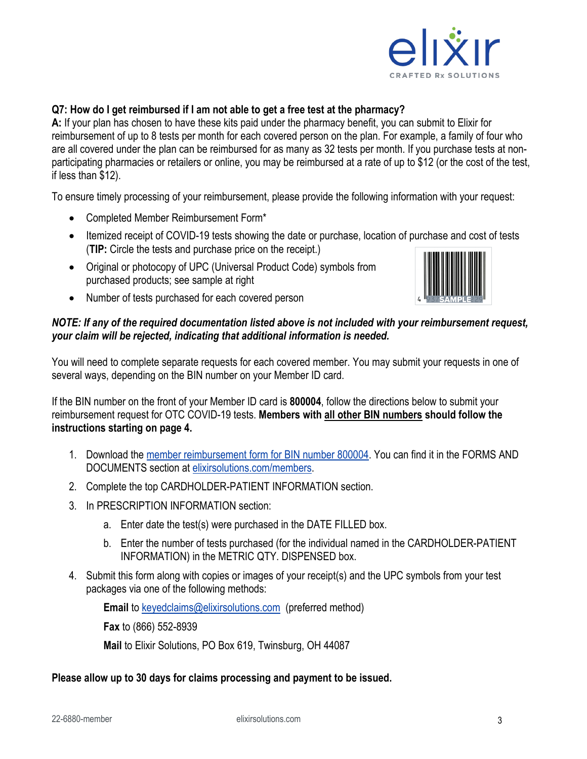

### **Q7: How do I get reimbursed if I am not able to get a free test at the pharmacy?**

**A:** If your plan has chosen to have these kits paid under the pharmacy benefit, you can submit to Elixir for reimbursement of up to 8 tests per month for each covered person on the plan. For example, a family of four who are all covered under the plan can be reimbursed for as many as 32 tests per month. If you purchase tests at nonparticipating pharmacies or retailers or online, you may be reimbursed at a rate of up to \$12 (or the cost of the test, if less than \$12).

To ensure timely processing of your reimbursement, please provide the following information with your request:

- Completed Member Reimbursement Form\*
- Itemized receipt of COVID-19 tests showing the date or purchase, location of purchase and cost of tests (**TIP:** Circle the tests and purchase price on the receipt.)
- Original or photocopy of UPC (Universal Product Code) symbols from purchased products; see sample at right



• Number of tests purchased for each covered person

#### *NOTE: If any of the required documentation listed above is not included with your reimbursement request, your claim will be rejected, indicating that additional information is needed.*

You will need to complete separate requests for each covered member. You may submit your requests in one of several ways, depending on the BIN number on your Member ID card.

If the BIN number on the front of your Member ID card is **800004**, follow the directions below to submit your reimbursement request for OTC COVID-19 tests. **Members with all other BIN numbers should follow the instructions starting on page 4.** 

- 1. Download the [member reimbursement form for BIN number 800004.](https://www.elixirsolutions.com/content/dam/elixirdotcom/members/Elixir_MemberClaimsForm-BIN%20800004.pdf) You can find it in the FORMS AND DOCUMENTS section at [elixirsolutions.com/members.](https://www.elixirsolutions.com/members)
- 2. Complete the top CARDHOLDER-PATIENT INFORMATION section.
- 3. In PRESCRIPTION INFORMATION section:
	- a. Enter date the test(s) were purchased in the DATE FILLED box.
	- b. Enter the number of tests purchased (for the individual named in the CARDHOLDER-PATIENT INFORMATION) in the METRIC QTY. DISPENSED box.
- 4. Submit this form along with copies or images of your receipt(s) and the UPC symbols from your test packages via one of the following methods:

**Email** to [keyedclaims@elixirsolutions.com](mailto:keyedclaims@elixirsolutions.com) (preferred method)

**Fax** to (866) 552-8939

**Mail** to Elixir Solutions, PO Box 619, Twinsburg, OH 44087

#### **Please allow up to 30 days for claims processing and payment to be issued.**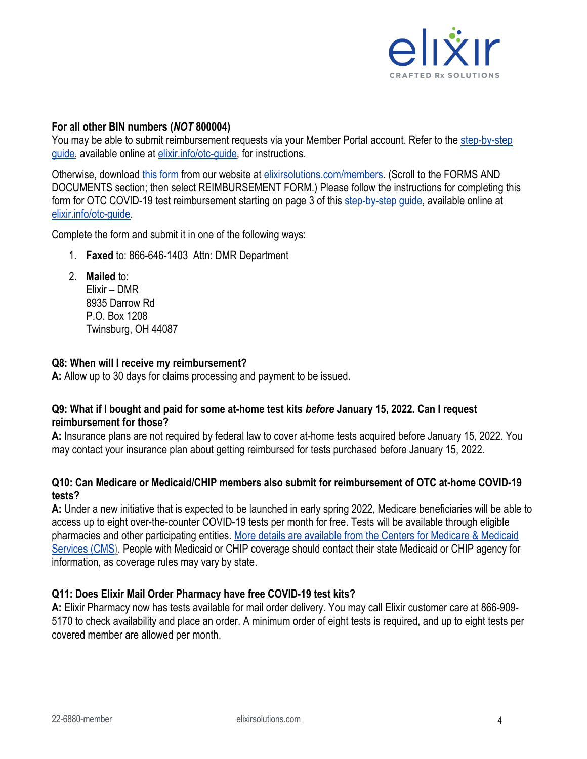

#### **For all other BIN numbers (***NOT* **800004)**

You may be able to submit reimbursement requests via your Member Portal account. Refer to the [step-by-step](https://page.elixirsolutions.com/hubfs/COVID%20FAQs/memb_comm_mbr_guide_test%20dmr%20in%20portal_22-6926_vf2.pdf)  [guide,](https://page.elixirsolutions.com/hubfs/COVID%20FAQs/memb_comm_mbr_guide_test%20dmr%20in%20portal_22-6926_vf2.pdf) available online at [elixir.info/otc-guide,](https://page.elixirsolutions.com/hubfs/COVID%20FAQs/memb_comm_mbr_guide_test%20dmr%20in%20portal_22-6926_vf2.pdf) for instructions.

Otherwise, download [this form](https://www.elixirsolutions.com/content/dam/elixirdotcom/members/elixir_branding_form_dmr%20clinical%20team%20form_20-4872_f4_form.pdf) from our website at [elixirsolutions.com/members.](http://www.elixirsolutions.com/members) (Scroll to the FORMS AND DOCUMENTS section; then select REIMBURSEMENT FORM.) Please follow the instructions for completing this form for OTC COVID-19 test reimbursement starting on page 3 of this [step-by-step guide,](https://page.elixirsolutions.com/hubfs/COVID%20FAQs/memb_comm_mbr_guide_test%20dmr%20in%20portal_22-6926_vf2.pdf) available online at [elixir.info/otc-guide.](https://page.elixirsolutions.com/hubfs/COVID%20FAQs/memb_comm_mbr_guide_test%20dmr%20in%20portal_22-6926_vf2.pdf)

Complete the form and submit it in one of the following ways:

- 1. **Faxed** to: 866-646-1403 Attn: DMR Department
- 2. **Mailed** to: Elixir – DMR 8935 Darrow Rd P.O. Box 1208 Twinsburg, OH 44087

#### **Q8: When will I receive my reimbursement?**

**A:** Allow up to 30 days for claims processing and payment to be issued.

#### **Q9: What if I bought and paid for some at-home test kits** *before* **January 15, 2022. Can I request reimbursement for those?**

**A:** Insurance plans are not required by federal law to cover at-home tests acquired before January 15, 2022. You may contact your insurance plan about getting reimbursed for tests purchased before January 15, 2022.

#### **Q10: Can Medicare or Medicaid/CHIP members also submit for reimbursement of OTC at-home COVID-19 tests?**

**A:** Under a new initiative that is expected to be launched in early spring 2022, Medicare beneficiaries will be able to access up to eight over-the-counter COVID-19 tests per month for free. Tests will be available through eligible pharmacies and other participating entities. [More details are available from the Centers for Medicare & Medicaid](https://www.cms.gov/files/document/covid-19-over-counter-otc-tests-medicare-frequently-asked-questions.pdf)  [Services \(CMS\).](https://www.cms.gov/files/document/covid-19-over-counter-otc-tests-medicare-frequently-asked-questions.pdf) People with Medicaid or CHIP coverage should contact their state Medicaid or CHIP agency for information, as coverage rules may vary by state.

#### **Q11: Does Elixir Mail Order Pharmacy have free COVID-19 test kits?**

**A:** Elixir Pharmacy now has tests available for mail order delivery. You may call Elixir customer care at 866-909- 5170 to check availability and place an order. A minimum order of eight tests is required, and up to eight tests per covered member are allowed per month.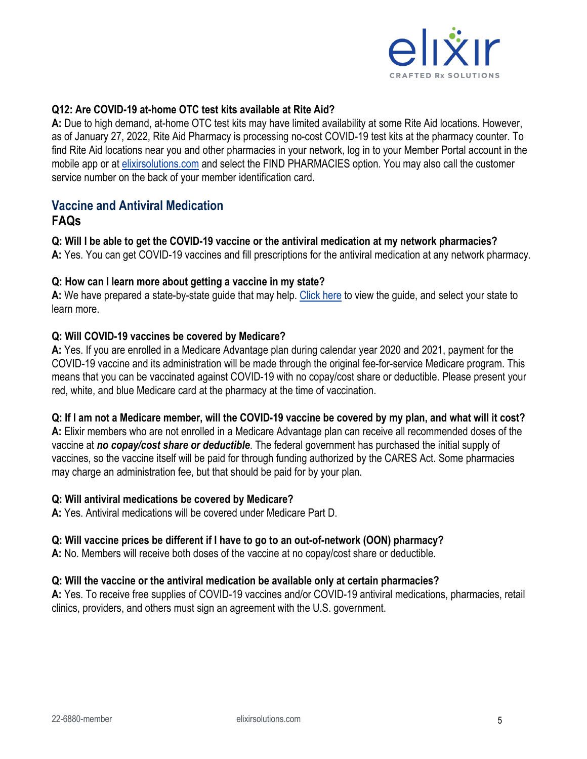

#### **Q12: Are COVID-19 at-home OTC test kits available at Rite Aid?**

**A:** Due to high demand, at-home OTC test kits may have limited availability at some Rite Aid locations. However, as of January 27, 2022, Rite Aid Pharmacy is processing no-cost COVID-19 test kits at the pharmacy counter. To find Rite Aid locations near you and other pharmacies in your network, log in to your Member Portal account in the mobile app or at [elixirsolutions.com](http://www.elixirsolutions.com/) and select the FIND PHARMACIES option. You may also call the customer service number on the back of your member identification card.

# **Vaccine and Antiviral Medication**

#### **FAQs**

#### **Q: Will I be able to get the COVID-19 vaccine or the antiviral medication at my network pharmacies?**

**A:** Yes. You can get COVID-19 vaccines and fill prescriptions for the antiviral medication at any network pharmacy.

#### **Q: How can I learn more about getting a vaccine in my state?**

**A:** We have prepared a state-by-state guide that may help. [Click here](https://page.elixirsolutions.com/hubfs/corp_client%20comm_ext_flyer_covid%20vax%20states_21-6091_f3.pdf?hsCtaTracking=f6ee6e40-11e8-4627-ae09-d18f94d2f3fb%7Ceb6f42ec-a6bb-4013-9b8b-789347b5653a) to view the guide, and select your state to learn more.

#### **Q: Will COVID-19 vaccines be covered by Medicare?**

**A:** Yes. If you are enrolled in a Medicare Advantage plan during calendar year 2020 and 2021, payment for the COVID-19 vaccine and its administration will be made through the original fee-for-service Medicare program. This means that you can be vaccinated against COVID-19 with no copay/cost share or deductible. Please present your red, white, and blue Medicare card at the pharmacy at the time of vaccination.

#### **Q: If I am not a Medicare member, will the COVID-19 vaccine be covered by my plan, and what will it cost?**

**A:** Elixir members who are not enrolled in a Medicare Advantage plan can receive all recommended doses of the vaccine at *no copay/cost share or deductible*. The federal government has purchased the initial supply of vaccines, so the vaccine itself will be paid for through funding authorized by the CARES Act. Some pharmacies may charge an administration fee, but that should be paid for by your plan.

#### **Q: Will antiviral medications be covered by Medicare?**

**A:** Yes. Antiviral medications will be covered under Medicare Part D.

#### **Q: Will vaccine prices be different if I have to go to an out-of-network (OON) pharmacy?**

**A:** No. Members will receive both doses of the vaccine at no copay/cost share or deductible.

#### **Q: Will the vaccine or the antiviral medication be available only at certain pharmacies?**

**A:** Yes. To receive free supplies of COVID-19 vaccines and/or COVID-19 antiviral medications, pharmacies, retail clinics, providers, and others must sign an agreement with the U.S. government.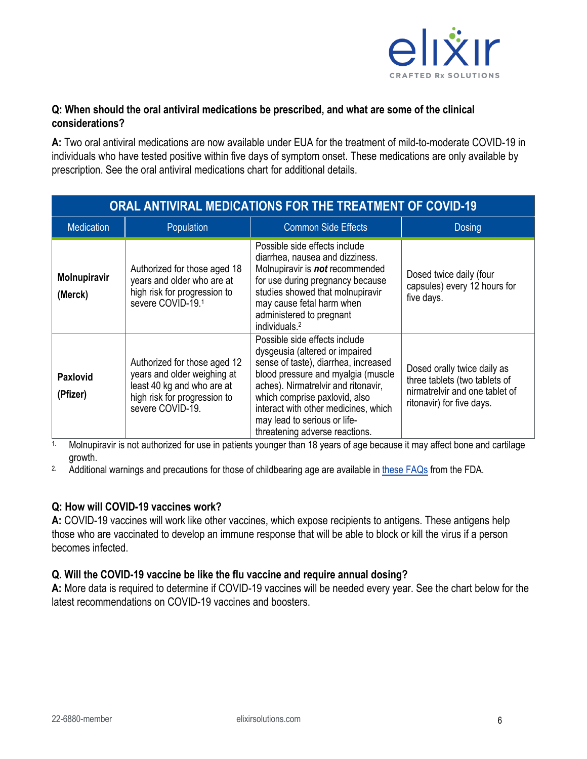

### **Q: When should the oral antiviral medications be prescribed, and what are some of the clinical considerations?**

**A:** Two oral antiviral medications are now available under EUA for the treatment of mild-to-moderate COVID-19 in individuals who have tested positive within five days of symptom onset. These medications are only available by prescription. See the oral antiviral medications chart for additional details.

| ORAL ANTIVIRAL MEDICATIONS FOR THE TREATMENT OF COVID-19 |                                                                                                                                               |                                                                                                                                                                                                                                                                                                                                 |                                                                                                                             |  |  |  |
|----------------------------------------------------------|-----------------------------------------------------------------------------------------------------------------------------------------------|---------------------------------------------------------------------------------------------------------------------------------------------------------------------------------------------------------------------------------------------------------------------------------------------------------------------------------|-----------------------------------------------------------------------------------------------------------------------------|--|--|--|
| <b>Medication</b>                                        | Population                                                                                                                                    | <b>Common Side Effects</b>                                                                                                                                                                                                                                                                                                      | <b>Dosing</b>                                                                                                               |  |  |  |
| <b>Molnupiravir</b><br>(Merck)                           | Authorized for those aged 18<br>years and older who are at<br>high risk for progression to<br>severe COVID-19.1                               | Possible side effects include<br>diarrhea, nausea and dizziness.<br>Molnupiravir is not recommended<br>for use during pregnancy because<br>studies showed that molnupiravir<br>may cause fetal harm when<br>administered to pregnant<br>individuals. <sup>2</sup>                                                               | Dosed twice daily (four<br>capsules) every 12 hours for<br>five days.                                                       |  |  |  |
| <b>Paxlovid</b><br>(Pfizer)                              | Authorized for those aged 12<br>years and older weighing at<br>least 40 kg and who are at<br>high risk for progression to<br>severe COVID-19. | Possible side effects include<br>dysgeusia (altered or impaired<br>sense of taste), diarrhea, increased<br>blood pressure and myalgia (muscle<br>aches). Nirmatrelvir and ritonavir,<br>which comprise paxlovid, also<br>interact with other medicines, which<br>may lead to serious or life-<br>threatening adverse reactions. | Dosed orally twice daily as<br>three tablets (two tablets of<br>nirmatrelvir and one tablet of<br>ritonavir) for five days. |  |  |  |

1. Molnupiravir is not authorized for use in patients younger than 18 years of age because it may affect bone and cartilage growth.

<sup>2.</sup> Additional warnings and precautions for those of childbearing age are available in [these FAQs](https://www.fda.gov/media/155056/download) from the FDA.

#### **Q: How will COVID-19 vaccines work?**

**A:** COVID-19 vaccines will work like other vaccines, which expose recipients to antigens. These antigens help those who are vaccinated to develop an immune response that will be able to block or kill the virus if a person becomes infected.

### **Q. Will the COVID-19 vaccine be like the flu vaccine and require annual dosing?**

**A:** More data is required to determine if COVID-19 vaccines will be needed every year. See the chart below for the latest recommendations on COVID-19 vaccines and boosters.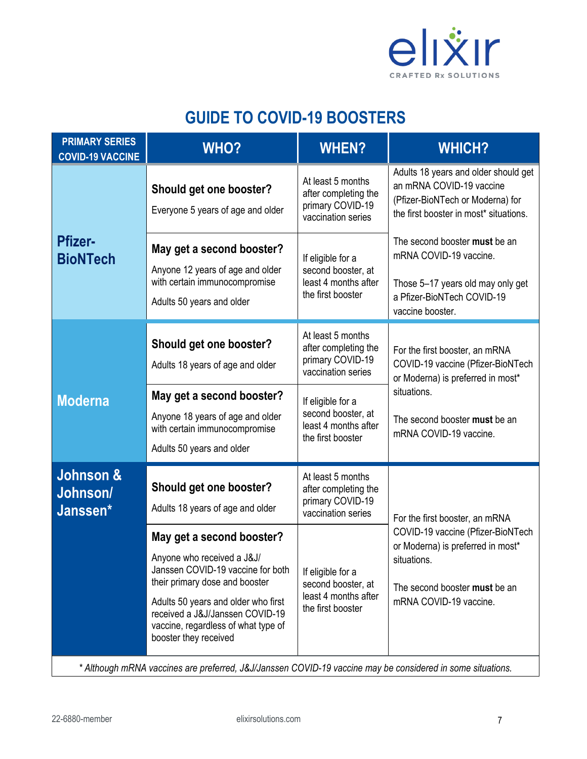

# **GUIDE TO COVID-19 BOOSTERS**

| <b>PRIMARY SERIES</b><br><b>COVID-19 VACCINE</b>                                                           | <b>WHO?</b>                                                                                                                                                                                                                                                                                                                             | <b>WHEN?</b>                                                                                                                                                                | <b>WHICH?</b>                                                                                                                                                                      |  |  |
|------------------------------------------------------------------------------------------------------------|-----------------------------------------------------------------------------------------------------------------------------------------------------------------------------------------------------------------------------------------------------------------------------------------------------------------------------------------|-----------------------------------------------------------------------------------------------------------------------------------------------------------------------------|------------------------------------------------------------------------------------------------------------------------------------------------------------------------------------|--|--|
|                                                                                                            | Should get one booster?<br>Everyone 5 years of age and older                                                                                                                                                                                                                                                                            | At least 5 months<br>after completing the<br>primary COVID-19<br>vaccination series                                                                                         | Adults 18 years and older should get<br>an mRNA COVID-19 vaccine<br>(Pfizer-BioNTech or Moderna) for<br>the first booster in most* situations.                                     |  |  |
| <b>Pfizer-</b><br><b>BioNTech</b>                                                                          | May get a second booster?<br>Anyone 12 years of age and older<br>with certain immunocompromise<br>Adults 50 years and older                                                                                                                                                                                                             | If eligible for a<br>second booster, at<br>least 4 months after<br>the first booster                                                                                        | The second booster must be an<br>mRNA COVID-19 vaccine.<br>Those 5-17 years old may only get<br>a Pfizer-BioNTech COVID-19<br>vaccine booster.                                     |  |  |
|                                                                                                            | Should get one booster?<br>Adults 18 years of age and older                                                                                                                                                                                                                                                                             | At least 5 months<br>after completing the<br>primary COVID-19<br>vaccination series                                                                                         | For the first booster, an mRNA<br>COVID-19 vaccine (Pfizer-BioNTech<br>or Moderna) is preferred in most*                                                                           |  |  |
| <b>Moderna</b>                                                                                             | May get a second booster?<br>Anyone 18 years of age and older<br>with certain immunocompromise<br>Adults 50 years and older                                                                                                                                                                                                             | If eligible for a<br>second booster, at<br>least 4 months after<br>the first booster                                                                                        | situations.<br>The second booster must be an<br>mRNA COVID-19 vaccine.                                                                                                             |  |  |
| Johnson &<br>Johnson/<br>Janssen*                                                                          | Should get one booster?<br>Adults 18 years of age and older<br>May get a second booster?<br>Anyone who received a J&J/<br>Janssen COVID-19 vaccine for both<br>their primary dose and booster<br>Adults 50 years and older who first<br>received a J&J/Janssen COVID-19<br>vaccine, regardless of what type of<br>booster they received | At least 5 months<br>after completing the<br>primary COVID-19<br>vaccination series<br>If eligible for a<br>second booster, at<br>least 4 months after<br>the first booster | For the first booster, an mRNA<br>COVID-19 vaccine (Pfizer-BioNTech<br>or Moderna) is preferred in most*<br>situations.<br>The second booster must be an<br>mRNA COVID-19 vaccine. |  |  |
| * Although mRNA vaccines are preferred, J&J/Janssen COVID-19 vaccine may be considered in some situations. |                                                                                                                                                                                                                                                                                                                                         |                                                                                                                                                                             |                                                                                                                                                                                    |  |  |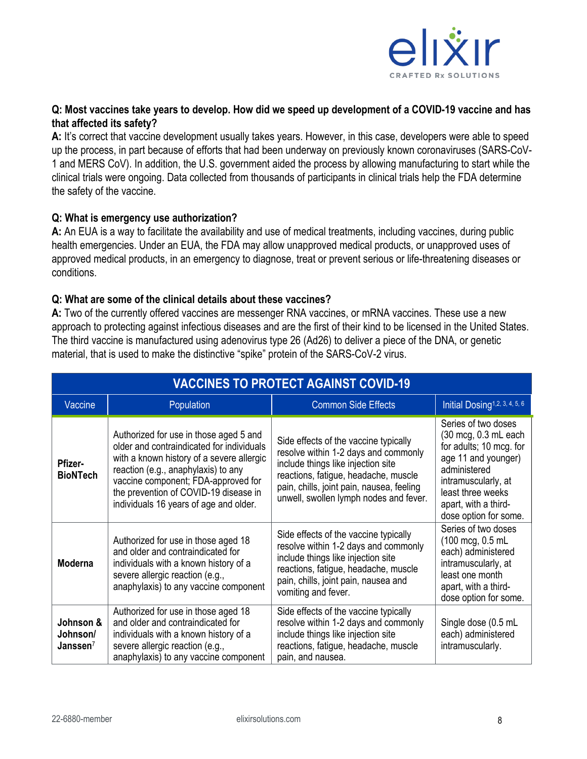

#### **Q: Most vaccines take years to develop. How did we speed up development of a COVID-19 vaccine and has that affected its safety?**

**A:** It's correct that vaccine development usually takes years. However, in this case, developers were able to speed up the process, in part because of efforts that had been underway on previously known coronaviruses (SARS-CoV-1 and MERS CoV). In addition, the U.S. government aided the process by allowing manufacturing to start while the clinical trials were ongoing. Data collected from thousands of participants in clinical trials help the FDA determine the safety of the vaccine.

#### **Q: What is emergency use authorization?**

**A:** An EUA is a way to facilitate the availability and use of medical treatments, including vaccines, during public health emergencies. Under an EUA, the FDA may allow unapproved medical products, or unapproved uses of approved medical products, in an emergency to diagnose, treat or prevent serious or life-threatening diseases or conditions.

#### **Q: What are some of the clinical details about these vaccines?**

**A:** Two of the currently offered vaccines are messenger RNA vaccines, or mRNA vaccines. These use a new approach to protecting against infectious diseases and are the first of their kind to be licensed in the United States. The third vaccine is manufactured using adenovirus type 26 (Ad26) to deliver a piece of the DNA, or genetic material, that is used to make the distinctive "spike" protein of the SARS-CoV-2 virus.

| <b>VACCINES TO PROTECT AGAINST COVID-19</b> |                                                                                                                                                                                                                                                                                                   |                                                                                                                                                                                                                                                    |                                                                                                                                                                                                            |  |  |  |  |
|---------------------------------------------|---------------------------------------------------------------------------------------------------------------------------------------------------------------------------------------------------------------------------------------------------------------------------------------------------|----------------------------------------------------------------------------------------------------------------------------------------------------------------------------------------------------------------------------------------------------|------------------------------------------------------------------------------------------------------------------------------------------------------------------------------------------------------------|--|--|--|--|
| Vaccine                                     | Population                                                                                                                                                                                                                                                                                        | <b>Common Side Effects</b>                                                                                                                                                                                                                         | Initial Dosing <sup>1,2, 3, 4, 5, 6</sup>                                                                                                                                                                  |  |  |  |  |
| <b>Pfizer-</b><br><b>BioNTech</b>           | Authorized for use in those aged 5 and<br>older and contraindicated for individuals<br>with a known history of a severe allergic<br>reaction (e.g., anaphylaxis) to any<br>vaccine component; FDA-approved for<br>the prevention of COVID-19 disease in<br>individuals 16 years of age and older. | Side effects of the vaccine typically<br>resolve within 1-2 days and commonly<br>include things like injection site<br>reactions, fatigue, headache, muscle<br>pain, chills, joint pain, nausea, feeling<br>unwell, swollen lymph nodes and fever. | Series of two doses<br>(30 mcg, 0.3 mL each<br>for adults; 10 mcg. for<br>age 11 and younger)<br>administered<br>intramuscularly, at<br>least three weeks<br>apart, with a third-<br>dose option for some. |  |  |  |  |
| Moderna                                     | Authorized for use in those aged 18<br>and older and contraindicated for<br>individuals with a known history of a<br>severe allergic reaction (e.g.,<br>anaphylaxis) to any vaccine component                                                                                                     | Side effects of the vaccine typically<br>resolve within 1-2 days and commonly<br>include things like injection site<br>reactions, fatigue, headache, muscle<br>pain, chills, joint pain, nausea and<br>vomiting and fever.                         | Series of two doses<br>(100 mcg, 0.5 mL<br>each) administered<br>intramuscularly, at<br>least one month<br>apart, with a third-<br>dose option for some.                                                   |  |  |  |  |
| Johnson &<br>Johnson/<br>Janssen $7$        | Authorized for use in those aged 18<br>and older and contraindicated for<br>individuals with a known history of a<br>severe allergic reaction (e.g.,<br>anaphylaxis) to any vaccine component                                                                                                     | Side effects of the vaccine typically<br>resolve within 1-2 days and commonly<br>include things like injection site<br>reactions, fatigue, headache, muscle<br>pain, and nausea.                                                                   | Single dose (0.5 mL<br>each) administered<br>intramuscularly.                                                                                                                                              |  |  |  |  |